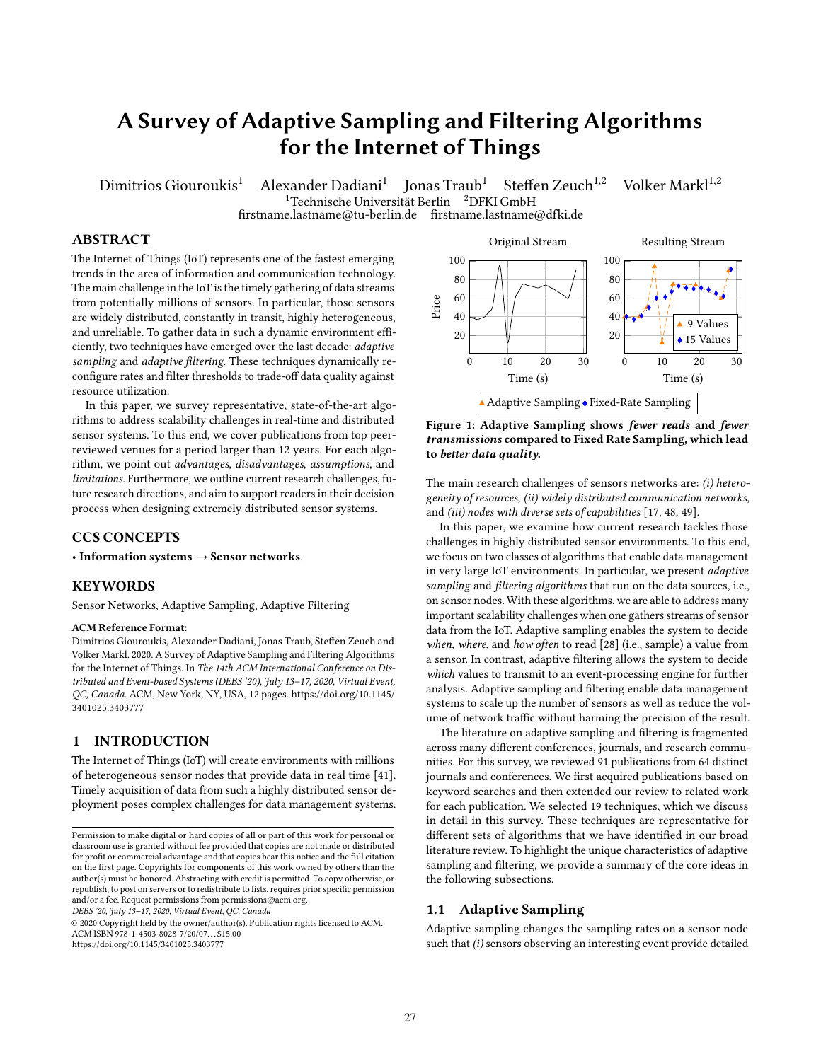# A Survey of Adaptive Sampling and Filtering Algorithms for the Internet of Things

Dimitrios Giouroukis<sup>1</sup> Alexander Dadiani<sup>1</sup> Jonas Traub<sup>1</sup> Steffen Zeuch<sup>1,2</sup> Volker Markl<sup>1,2</sup>

<sup>1</sup>Technische Universität Berlin <sup>2</sup>DFKI GmbH

firstname.lastname@tu-berlin.de firstname.lastname@dfki.de

# ABSTRACT

The Internet of Things (IoT) represents one of the fastest emerging trends in the area of information and communication technology. The main challenge in the IoT is the timely gathering of data streams from potentially millions of sensors. In particular, those sensors are widely distributed, constantly in transit, highly heterogeneous, and unreliable. To gather data in such a dynamic environment efficiently, two techniques have emerged over the last decade: adaptive sampling and adaptive filtering. These techniques dynamically reconfigure rates and filter thresholds to trade-off data quality against resource utilization.

In this paper, we survey representative, state-of-the-art algorithms to address scalability challenges in real-time and distributed sensor systems. To this end, we cover publications from top peerreviewed venues for a period larger than 12 years. For each algorithm, we point out advantages, disadvantages, assumptions, and limitations. Furthermore, we outline current research challenges, future research directions, and aim to support readers in their decision process when designing extremely distributed sensor systems.

# CCS CONCEPTS

• Information systems  $\rightarrow$  Sensor networks.

#### KEYWORDS

Sensor Networks, Adaptive Sampling, Adaptive Filtering

#### ACM Reference Format:

Dimitrios Giouroukis, Alexander Dadiani, Jonas Traub, Steffen Zeuch and Volker Markl. 2020. A Survey of Adaptive Sampling and Filtering Algorithms for the Internet of Things. In The 14th ACM International Conference on Distributed and Event-based Systems (DEBS '20), July 13–17, 2020, Virtual Event, QC, Canada. ACM, New York, NY, USA, [12](#page-11-0) pages. [https://doi.org/10.1145/](https://doi.org/10.1145/3401025.3403777) [3401025.3403777](https://doi.org/10.1145/3401025.3403777)

# 1 INTRODUCTION

The Internet of Things (IoT) will create environments with millions of heterogeneous sensor nodes that provide data in real time [\[41\]](#page-11-1). Timely acquisition of data from such a highly distributed sensor deployment poses complex challenges for data management systems.

DEBS '20, July 13–17, 2020, Virtual Event, QC, Canada

© 2020 Copyright held by the owner/author(s). Publication rights licensed to ACM. ACM ISBN 978-1-4503-8028-7/20/07. . . \$15.00 <https://doi.org/10.1145/3401025.3403777>

<span id="page-0-0"></span>

Figure 1: Adaptive Sampling shows fewer reads and fewer transmissions compared to Fixed Rate Sampling, which lead to better data quality.

The main research challenges of sensors networks are: (i) heterogeneity of resources, (ii) widely distributed communication networks, and (iii) nodes with diverse sets of capabilities [\[17,](#page-11-2) [48,](#page-11-3) [49\]](#page-11-4).

In this paper, we examine how current research tackles those challenges in highly distributed sensor environments. To this end, we focus on two classes of algorithms that enable data management in very large IoT environments. In particular, we present adaptive sampling and filtering algorithms that run on the data sources, i.e., on sensor nodes. With these algorithms, we are able to address many important scalability challenges when one gathers streams of sensor data from the IoT. Adaptive sampling enables the system to decide when, where, and how often to read [\[28\]](#page-11-5) (i.e., sample) a value from a sensor. In contrast, adaptive filtering allows the system to decide which values to transmit to an event-processing engine for further analysis. Adaptive sampling and filtering enable data management systems to scale up the number of sensors as well as reduce the volume of network traffic without harming the precision of the result.

The literature on adaptive sampling and filtering is fragmented across many different conferences, journals, and research communities. For this survey, we reviewed 91 publications from 64 distinct journals and conferences. We first acquired publications based on keyword searches and then extended our review to related work for each publication. We selected 19 techniques, which we discuss in detail in this survey. These techniques are representative for different sets of algorithms that we have identified in our broad literature review. To highlight the unique characteristics of adaptive sampling and filtering, we provide a summary of the core ideas in the following subsections.

# 1.1 Adaptive Sampling

Adaptive sampling changes the sampling rates on a sensor node such that (i) sensors observing an interesting event provide detailed

Permission to make digital or hard copies of all or part of this work for personal or classroom use is granted without fee provided that copies are not made or distributed for profit or commercial advantage and that copies bear this notice and the full citation on the first page. Copyrights for components of this work owned by others than the author(s) must be honored. Abstracting with credit is permitted. To copy otherwise, or republish, to post on servers or to redistribute to lists, requires prior specific permission and/or a fee. Request permissions from permissions@acm.org.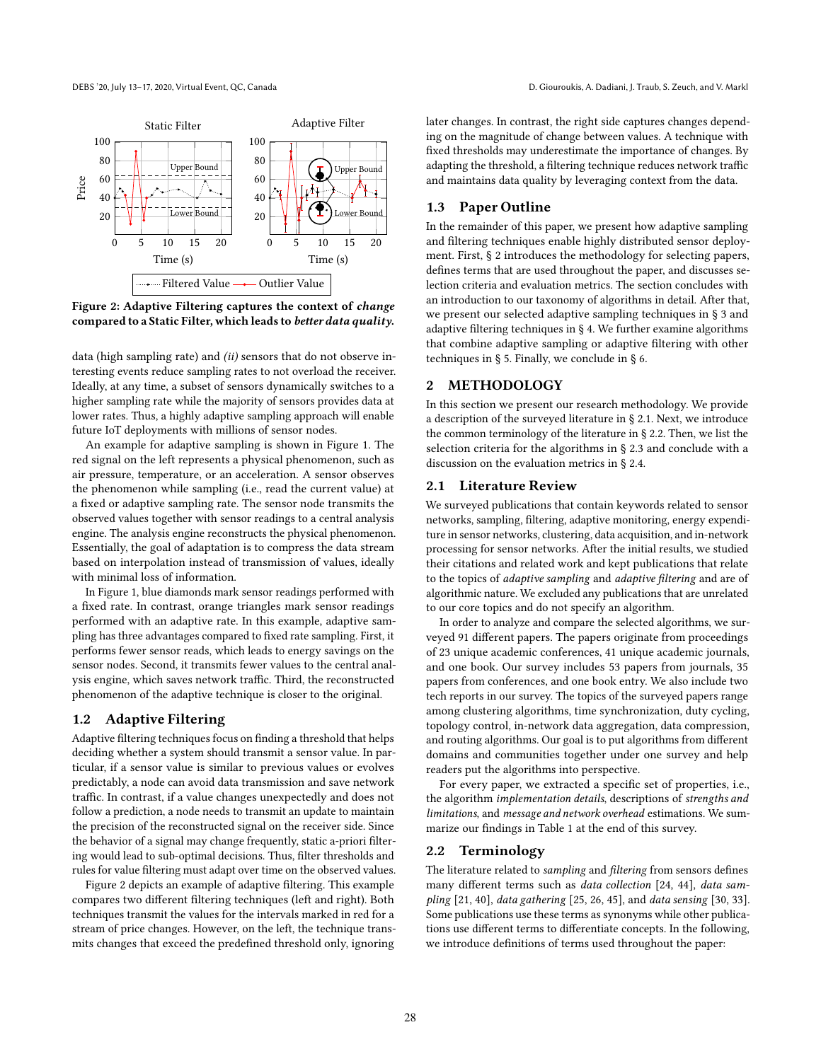<span id="page-1-0"></span>

compared to a Static Filter, which leads to *better data quality*.<br>
<sup>1</sup>/<sub>daptive</sub> that compared to a Static Filter, which leads to *better data quality*.

teresting events reduce sampling rates to not overload the receiver<br>Ideally, at any time, a subset of sensors dynamically switches to a<br>higher sampling rate while the majority of sensors provides data at data (high sampling rate) and *(ii)* sensors that do not observe intechniquently events reduce sampling rates to not overload the receiver. Inglier sampling rate wille the majority of sensors provides data at<br>lower rates. Thus, a highly adaptive sampling approach will enable<br>future IoT deployments with millions of sensor nodes. data (high sampling rate) and (ii) sensors that do not observe in-Ideally, at any time, a subset of sensors dynamically switches to a future IoT deployments with millions of sensor nodes.

An example for adaptive sampling is shown in rigure 1. The<br>red signal on the left represents a physical phenomenon, such as<br>air pressure, temperature, or an acceleration. A sensor observes an pressure, temperature, or an acceleration. A sensor observes<br>the phenomenon while sampling (i.e., read the current value) at<br>a fixed or adaptive sampling rate. The sensor node transmits the An example for adaptive sampling is shown in Figure [1.](#page-0-0) The air pressure, temperature, or an acceleration. A sensor observes a fixed or adaptive sampling rate. The sensor node transmits the observed values together with sensor readings to a central analysis engine. The analysis engine reconstructs the physical phenomenon. Essentially, the goal of adaptation is to compress the data stream based on interpolation instead of transmission of values, ideally with minimal loss of information.

> In Figure [1,](#page-0-0) blue diamonds mark sensor readings performed with a fixed rate. In contrast, orange triangles mark sensor readings performed with an adaptive rate. In this example, adaptive sampling has three advantages compared to fixed rate sampling. First, it performs fewer sensor reads, which leads to energy savings on the sensor nodes. Second, it transmits fewer values to the central analysis engine, which saves network traffic. Third, the reconstructed phenomenon of the adaptive technique is closer to the original.

# 1.2 Adaptive Filtering

Adaptive filtering techniques focus on finding a threshold that helps deciding whether a system should transmit a sensor value. In particular, if a sensor value is similar to previous values or evolves predictably, a node can avoid data transmission and save network traffic. In contrast, if a value changes unexpectedly and does not follow a prediction, a node needs to transmit an update to maintain the precision of the reconstructed signal on the receiver side. Since the behavior of a signal may change frequently, static a-priori filtering would lead to sub-optimal decisions. Thus, filter thresholds and rules for value filtering must adapt over time on the observed values.

Figure [2](#page-1-0) depicts an example of adaptive filtering. This example compares two different filtering techniques (left and right). Both techniques transmit the values for the intervals marked in red for a stream of price changes. However, on the left, the technique transmits changes that exceed the predefined threshold only, ignoring

ve Filter later changes. In contrast, the right side captures changes depend-Ing on the magnitude or change between values. A technique with<br>fixed thresholds may underestimate the importance of changes. By ing on the magnitude of change between values. A technique with adapting the threshold, a filtering technique reduces network traffic and maintains data quality by leveraging context from the data.

# 1.3 Paper Outline

 $\frac{15}{20}$  and filtering techniques enable highly distributed sensor deploy-<br>ne (s) ment. First, § [2](#page-1-1) introduces the methodology for selecting papers, defines terms that are used throughout the paper, and discusses sequences between the papers of the section concludes with In the remainder of this paper, we present how adaptive sampling and filtering techniques enable highly distributed sensor deploydefines terms that are used throughout the paper, and discusses sean introduction to our taxonomy of algorithms in detail. After that, we present our selected adaptive sampling techniques in § [3](#page-2-0) and adaptive filtering techniques in § [4.](#page-6-0) We further examine algorithms that combine adaptive sampling or adaptive filtering with other techniques in § [5.](#page-9-0) Finally, we conclude in § [6.](#page-11-6)

# <span id="page-1-1"></span>2 METHODOLOGY

In this section we present our research methodology. We provide a description of the surveyed literature in § [2.1.](#page-1-2) Next, we introduce the common terminology of the literature in § [2.2.](#page-1-3) Then, we list the selection criteria for the algorithms in § [2.3](#page-2-1) and conclude with a discussion on the evaluation metrics in § [2.4.](#page-2-2)

# <span id="page-1-2"></span>2.1 Literature Review

We surveyed publications that contain keywords related to sensor networks, sampling, filtering, adaptive monitoring, energy expenditure in sensor networks, clustering, data acquisition, and in-network processing for sensor networks. After the initial results, we studied their citations and related work and kept publications that relate to the topics of adaptive sampling and adaptive filtering and are of algorithmic nature. We excluded any publications that are unrelated to our core topics and do not specify an algorithm.

In order to analyze and compare the selected algorithms, we surveyed 91 different papers. The papers originate from proceedings of 23 unique academic conferences, 41 unique academic journals, and one book. Our survey includes 53 papers from journals, 35 papers from conferences, and one book entry. We also include two tech reports in our survey. The topics of the surveyed papers range among clustering algorithms, time synchronization, duty cycling, topology control, in-network data aggregation, data compression, and routing algorithms. Our goal is to put algorithms from different domains and communities together under one survey and help readers put the algorithms into perspective.

For every paper, we extracted a specific set of properties, i.e., the algorithm implementation details, descriptions of strengths and limitations, and message and network overhead estimations. We summarize our findings in Table [1](#page-10-0) at the end of this survey.

#### <span id="page-1-3"></span>2.2 Terminology

The literature related to sampling and filtering from sensors defines many different terms such as data collection [\[24,](#page-11-7) [44\]](#page-11-8), data sampling [\[21,](#page-11-9) [40\]](#page-11-10), data gathering [\[25,](#page-11-11) [26,](#page-11-12) [45\]](#page-11-13), and data sensing [\[30,](#page-11-14) [33\]](#page-11-15). Some publications use these terms as synonyms while other publications use different terms to differentiate concepts. In the following, we introduce definitions of terms used throughout the paper: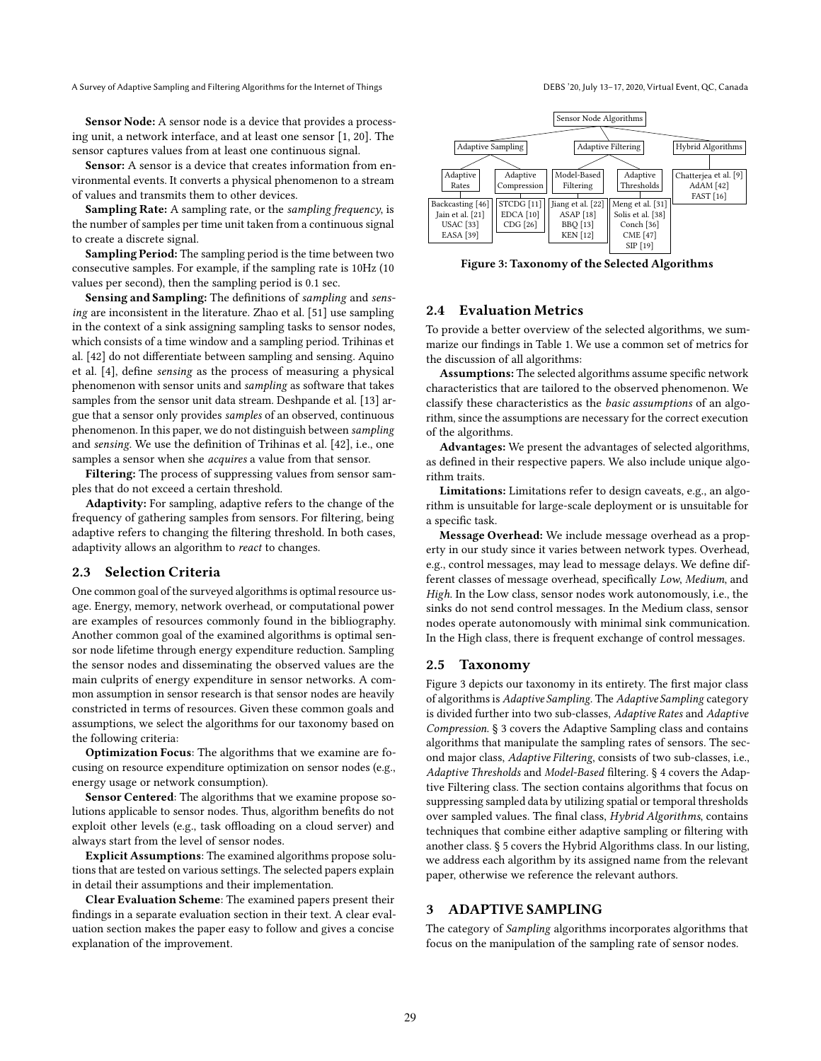Sensor Node: A sensor node is a device that provides a processing unit, a network interface, and at least one sensor [\[1,](#page-11-16) [20\]](#page-11-17). The sensor captures values from at least one continuous signal.

Sensor: A sensor is a device that creates information from environmental events. It converts a physical phenomenon to a stream of values and transmits them to other devices.

Sampling Rate: A sampling rate, or the sampling frequency, is the number of samples per time unit taken from a continuous signal to create a discrete signal.

Sampling Period: The sampling period is the time between two consecutive samples. For example, if the sampling rate is 10Hz (10 values per second), then the sampling period is 0.1 sec.

Sensing and Sampling: The definitions of sampling and sensing are inconsistent in the literature. Zhao et al. [\[51\]](#page-11-18) use sampling in the context of a sink assigning sampling tasks to sensor nodes, which consists of a time window and a sampling period. Trihinas et al. [\[42\]](#page-11-19) do not differentiate between sampling and sensing. Aquino et al. [\[4\]](#page-11-20), define sensing as the process of measuring a physical phenomenon with sensor units and sampling as software that takes samples from the sensor unit data stream. Deshpande et al. [\[13\]](#page-11-21) argue that a sensor only provides samples of an observed, continuous phenomenon. In this paper, we do not distinguish between sampling and sensing. We use the definition of Trihinas et al. [\[42\]](#page-11-19), i.e., one samples a sensor when she acquires a value from that sensor.

Filtering: The process of suppressing values from sensor samples that do not exceed a certain threshold.

Adaptivity: For sampling, adaptive refers to the change of the frequency of gathering samples from sensors. For filtering, being adaptive refers to changing the filtering threshold. In both cases, adaptivity allows an algorithm to react to changes.

### <span id="page-2-1"></span>2.3 Selection Criteria

One common goal of the surveyed algorithms is optimal resource usage. Energy, memory, network overhead, or computational power are examples of resources commonly found in the bibliography. Another common goal of the examined algorithms is optimal sensor node lifetime through energy expenditure reduction. Sampling the sensor nodes and disseminating the observed values are the main culprits of energy expenditure in sensor networks. A common assumption in sensor research is that sensor nodes are heavily constricted in terms of resources. Given these common goals and assumptions, we select the algorithms for our taxonomy based on the following criteria:

Optimization Focus: The algorithms that we examine are focusing on resource expenditure optimization on sensor nodes (e.g., energy usage or network consumption).

Sensor Centered: The algorithms that we examine propose solutions applicable to sensor nodes. Thus, algorithm benefits do not exploit other levels (e.g., task offloading on a cloud server) and always start from the level of sensor nodes.

Explicit Assumptions: The examined algorithms propose solutions that are tested on various settings. The selected papers explain in detail their assumptions and their implementation.

Clear Evaluation Scheme: The examined papers present their findings in a separate evaluation section in their text. A clear evaluation section makes the paper easy to follow and gives a concise explanation of the improvement.

<span id="page-2-3"></span>

Figure 3: Taxonomy of the Selected Algorithms

# <span id="page-2-2"></span>2.4 Evaluation Metrics

To provide a better overview of the selected algorithms, we summarize our findings in Table [1.](#page-10-0) We use a common set of metrics for the discussion of all algorithms:

Assumptions: The selected algorithms assume specific network characteristics that are tailored to the observed phenomenon. We classify these characteristics as the basic assumptions of an algorithm, since the assumptions are necessary for the correct execution of the algorithms.

Advantages: We present the advantages of selected algorithms, as defined in their respective papers. We also include unique algorithm traits.

Limitations: Limitations refer to design caveats, e.g., an algorithm is unsuitable for large-scale deployment or is unsuitable for a specific task.

Message Overhead: We include message overhead as a property in our study since it varies between network types. Overhead, e.g., control messages, may lead to message delays. We define different classes of message overhead, specifically Low, Medium, and High. In the Low class, sensor nodes work autonomously, i.e., the sinks do not send control messages. In the Medium class, sensor nodes operate autonomously with minimal sink communication. In the High class, there is frequent exchange of control messages.

#### 2.5 Taxonomy

Figure [3](#page-2-3) depicts our taxonomy in its entirety. The first major class of algorithms is Adaptive Sampling. The Adaptive Sampling category is divided further into two sub-classes, Adaptive Rates and Adaptive Compression. § [3](#page-2-0) covers the Adaptive Sampling class and contains algorithms that manipulate the sampling rates of sensors. The second major class, Adaptive Filtering, consists of two sub-classes, i.e., Adaptive Thresholds and Model-Based filtering. § [4](#page-6-0) covers the Adaptive Filtering class. The section contains algorithms that focus on suppressing sampled data by utilizing spatial or temporal thresholds over sampled values. The final class, Hybrid Algorithms, contains techniques that combine either adaptive sampling or filtering with another class. § [5](#page-9-0) covers the Hybrid Algorithms class. In our listing, we address each algorithm by its assigned name from the relevant paper, otherwise we reference the relevant authors.

# <span id="page-2-0"></span>3 ADAPTIVE SAMPLING

The category of Sampling algorithms incorporates algorithms that focus on the manipulation of the sampling rate of sensor nodes.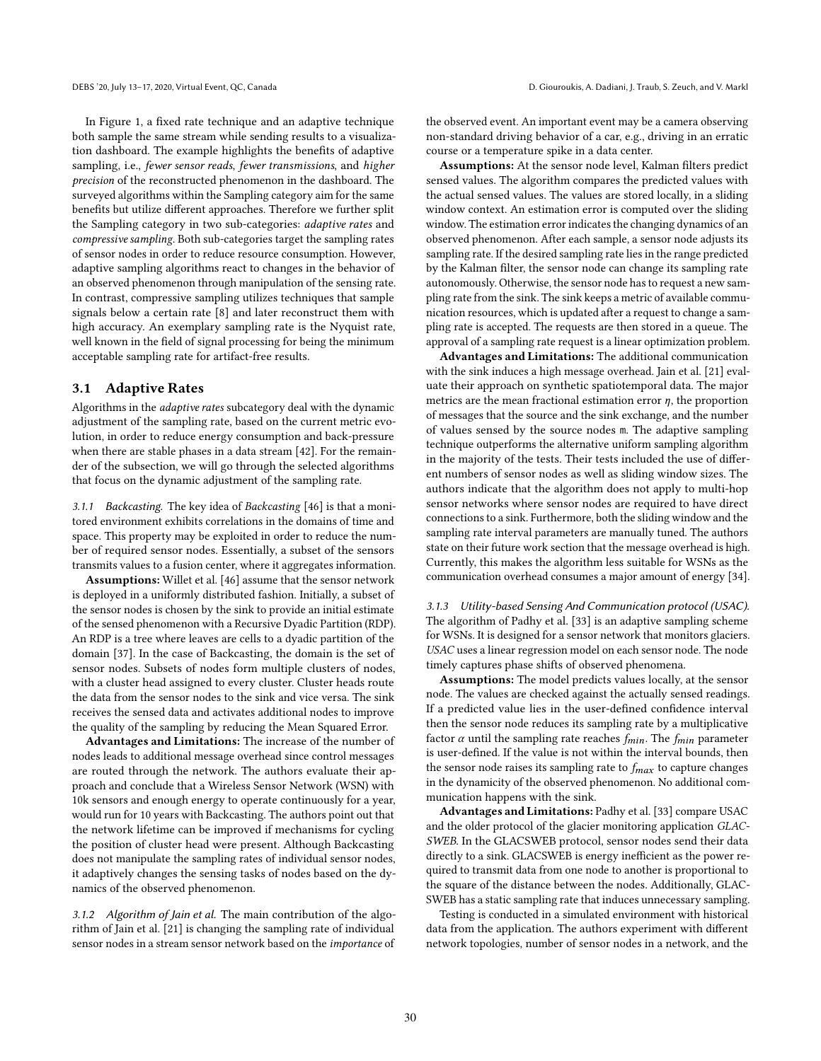In Figure [1,](#page-0-0) a fixed rate technique and an adaptive technique both sample the same stream while sending results to a visualization dashboard. The example highlights the benefits of adaptive sampling, i.e., fewer sensor reads, fewer transmissions, and higher precision of the reconstructed phenomenon in the dashboard. The surveyed algorithms within the Sampling category aim for the same benefits but utilize different approaches. Therefore we further split the Sampling category in two sub-categories: adaptive rates and compressive sampling. Both sub-categories target the sampling rates of sensor nodes in order to reduce resource consumption. However, adaptive sampling algorithms react to changes in the behavior of an observed phenomenon through manipulation of the sensing rate. In contrast, compressive sampling utilizes techniques that sample signals below a certain rate [\[8\]](#page-11-26) and later reconstruct them with high accuracy. An exemplary sampling rate is the Nyquist rate, well known in the field of signal processing for being the minimum acceptable sampling rate for artifact-free results.

#### <span id="page-3-0"></span>3.1 Adaptive Rates

Algorithms in the adaptive rates subcategory deal with the dynamic adjustment of the sampling rate, based on the current metric evolution, in order to reduce energy consumption and back-pressure when there are stable phases in a data stream [\[42\]](#page-11-19). For the remainder of the subsection, we will go through the selected algorithms that focus on the dynamic adjustment of the sampling rate.

3.1.1 Backcasting. The key idea of Backcasting [\[46\]](#page-11-27) is that a monitored environment exhibits correlations in the domains of time and space. This property may be exploited in order to reduce the number of required sensor nodes. Essentially, a subset of the sensors transmits values to a fusion center, where it aggregates information.

Assumptions: Willet et al. [\[46\]](#page-11-27) assume that the sensor network is deployed in a uniformly distributed fashion. Initially, a subset of the sensor nodes is chosen by the sink to provide an initial estimate of the sensed phenomenon with a Recursive Dyadic Partition (RDP). An RDP is a tree where leaves are cells to a dyadic partition of the domain [\[37\]](#page-11-28). In the case of Backcasting, the domain is the set of sensor nodes. Subsets of nodes form multiple clusters of nodes, with a cluster head assigned to every cluster. Cluster heads route the data from the sensor nodes to the sink and vice versa. The sink receives the sensed data and activates additional nodes to improve the quality of the sampling by reducing the Mean Squared Error.

Advantages and Limitations: The increase of the number of nodes leads to additional message overhead since control messages are routed through the network. The authors evaluate their approach and conclude that a Wireless Sensor Network (WSN) with 10k sensors and enough energy to operate continuously for a year, would run for 10 years with Backcasting. The authors point out that the network lifetime can be improved if mechanisms for cycling the position of cluster head were present. Although Backcasting does not manipulate the sampling rates of individual sensor nodes, it adaptively changes the sensing tasks of nodes based on the dynamics of the observed phenomenon.

3.1.2 Algorithm of Jain et al. The main contribution of the algorithm of Jain et al. [\[21\]](#page-11-9) is changing the sampling rate of individual sensor nodes in a stream sensor network based on the importance of

the observed event. An important event may be a camera observing non-standard driving behavior of a car, e.g., driving in an erratic course or a temperature spike in a data center.

Assumptions: At the sensor node level, Kalman filters predict sensed values. The algorithm compares the predicted values with the actual sensed values. The values are stored locally, in a sliding window context. An estimation error is computed over the sliding window. The estimation error indicates the changing dynamics of an observed phenomenon. After each sample, a sensor node adjusts its sampling rate. If the desired sampling rate lies in the range predicted by the Kalman filter, the sensor node can change its sampling rate autonomously. Otherwise, the sensor node has to request a new sampling rate from the sink. The sink keeps a metric of available communication resources, which is updated after a request to change a sampling rate is accepted. The requests are then stored in a queue. The approval of a sampling rate request is a linear optimization problem.

Advantages and Limitations: The additional communication with the sink induces a high message overhead. Jain et al. [\[21\]](#page-11-9) evaluate their approach on synthetic spatiotemporal data. The major metrics are the mean fractional estimation error  $\eta$ , the proportion of messages that the source and the sink exchange, and the number of values sensed by the source nodes m. The adaptive sampling technique outperforms the alternative uniform sampling algorithm in the majority of the tests. Their tests included the use of different numbers of sensor nodes as well as sliding window sizes. The authors indicate that the algorithm does not apply to multi-hop sensor networks where sensor nodes are required to have direct connections to a sink. Furthermore, both the sliding window and the sampling rate interval parameters are manually tuned. The authors state on their future work section that the message overhead is high. Currently, this makes the algorithm less suitable for WSNs as the communication overhead consumes a major amount of energy [\[34\]](#page-11-29).

3.1.3 Utility-based Sensing And Communication protocol (USAC). The algorithm of Padhy et al. [\[33\]](#page-11-15) is an adaptive sampling scheme for WSNs. It is designed for a sensor network that monitors glaciers. USAC uses a linear regression model on each sensor node. The node timely captures phase shifts of observed phenomena.

Assumptions: The model predicts values locally, at the sensor node. The values are checked against the actually sensed readings. If a predicted value lies in the user-defined confidence interval then the sensor node reduces its sampling rate by a multiplicative factor  $\alpha$  until the sampling rate reaches  $f_{min}$ . The  $f_{min}$  parameter is user-defined. If the value is not within the interval bounds, then the sensor node raises its sampling rate to  $f_{max}$  to capture changes in the dynamicity of the observed phenomenon. No additional communication happens with the sink.

Advantages and Limitations: Padhy et al. [\[33\]](#page-11-15) compare USAC and the older protocol of the glacier monitoring application GLAC-SWEB. In the GLACSWEB protocol, sensor nodes send their data directly to a sink. GLACSWEB is energy inefficient as the power required to transmit data from one node to another is proportional to the square of the distance between the nodes. Additionally, GLAC-SWEB has a static sampling rate that induces unnecessary sampling.

Testing is conducted in a simulated environment with historical data from the application. The authors experiment with different network topologies, number of sensor nodes in a network, and the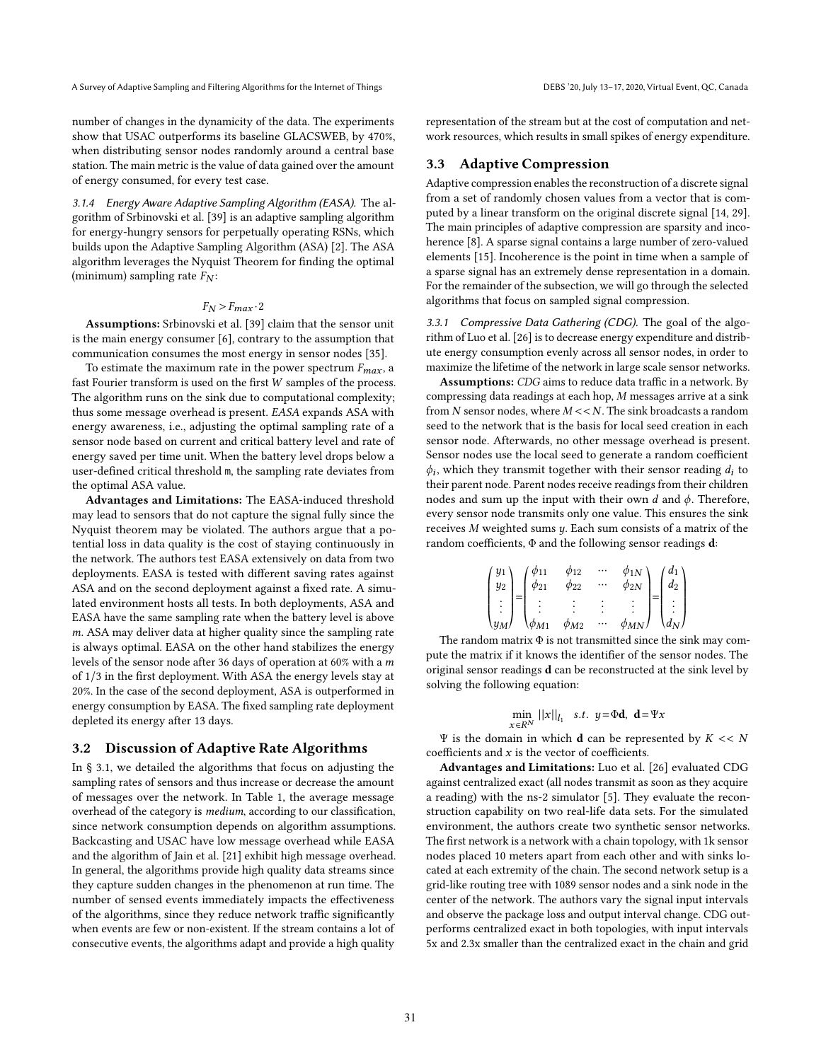number of changes in the dynamicity of the data. The experiments show that USAC outperforms its baseline GLACSWEB, by 470%, when distributing sensor nodes randomly around a central base station. The main metric is the value of data gained over the amount of energy consumed, for every test case.

3.1.4 Energy Aware Adaptive Sampling Algorithm (EASA). The algorithm of Srbinovski et al. [\[39\]](#page-11-30) is an adaptive sampling algorithm for energy-hungry sensors for perpetually operating RSNs, which builds upon the Adaptive Sampling Algorithm (ASA) [\[2\]](#page-11-31). The ASA algorithm leverages the Nyquist Theorem for finding the optimal (minimum) sampling rate  $F_N$ :

#### $F_N > F_{max} \cdot 2$

Assumptions: Srbinovski et al. [\[39\]](#page-11-30) claim that the sensor unit is the main energy consumer [\[6\]](#page-11-32), contrary to the assumption that communication consumes the most energy in sensor nodes [\[35\]](#page-11-33).

To estimate the maximum rate in the power spectrum  $F_{max}$ , a fast Fourier transform is used on the first  $W$  samples of the process. The algorithm runs on the sink due to computational complexity; thus some message overhead is present. EASA expands ASA with energy awareness, i.e., adjusting the optimal sampling rate of a sensor node based on current and critical battery level and rate of energy saved per time unit. When the battery level drops below a user-defined critical threshold m, the sampling rate deviates from the optimal ASA value.

Advantages and Limitations: The EASA-induced threshold may lead to sensors that do not capture the signal fully since the Nyquist theorem may be violated. The authors argue that a potential loss in data quality is the cost of staying continuously in the network. The authors test EASA extensively on data from two deployments. EASA is tested with different saving rates against ASA and on the second deployment against a fixed rate. A simulated environment hosts all tests. In both deployments, ASA and EASA have the same sampling rate when the battery level is above m. ASA may deliver data at higher quality since the sampling rate is always optimal. EASA on the other hand stabilizes the energy levels of the sensor node after 36 days of operation at 60% with a of 1/3 in the first deployment. With ASA the energy levels stay at 20%. In the case of the second deployment, ASA is outperformed in energy consumption by EASA. The fixed sampling rate deployment depleted its energy after 13 days.

#### 3.2 Discussion of Adaptive Rate Algorithms

In § [3.1,](#page-3-0) we detailed the algorithms that focus on adjusting the sampling rates of sensors and thus increase or decrease the amount of messages over the network. In Table [1,](#page-10-0) the average message overhead of the category is medium, according to our classification, since network consumption depends on algorithm assumptions. Backcasting and USAC have low message overhead while EASA and the algorithm of Jain et al. [\[21\]](#page-11-9) exhibit high message overhead. In general, the algorithms provide high quality data streams since they capture sudden changes in the phenomenon at run time. The number of sensed events immediately impacts the effectiveness of the algorithms, since they reduce network traffic significantly when events are few or non-existent. If the stream contains a lot of consecutive events, the algorithms adapt and provide a high quality

representation of the stream but at the cost of computation and network resources, which results in small spikes of energy expenditure.

# <span id="page-4-0"></span>3.3 Adaptive Compression

Adaptive compression enables the reconstruction of a discrete signal from a set of randomly chosen values from a vector that is computed by a linear transform on the original discrete signal [\[14,](#page-11-34) [29\]](#page-11-35). The main principles of adaptive compression are sparsity and incoherence [\[8\]](#page-11-26). A sparse signal contains a large number of zero-valued elements [\[15\]](#page-11-36). Incoherence is the point in time when a sample of a sparse signal has an extremely dense representation in a domain. For the remainder of the subsection, we will go through the selected algorithms that focus on sampled signal compression.

3.3.1 Compressive Data Gathering (CDG). The goal of the algorithm of Luo et al. [\[26\]](#page-11-12) is to decrease energy expenditure and distribute energy consumption evenly across all sensor nodes, in order to maximize the lifetime of the network in large scale sensor networks.

Assumptions: CDG aims to reduce data traffic in a network. By compressing data readings at each hop,  $M$  messages arrive at a sink from  $N$  sensor nodes, where  $M \ll N$ . The sink broadcasts a random seed to the network that is the basis for local seed creation in each sensor node. Afterwards, no other message overhead is present. Sensor nodes use the local seed to generate a random coefficient  $\phi_i$ , which they transmit together with their sensor reading  $d_i$  to their parent node. Parent nodes receive readings from their children nodes and sum up the input with their own  $d$  and  $\phi$ . Therefore, every sensor node transmits only one value. This ensures the sink receives  $M$  weighted sums  $y$ . Each sum consists of a matrix of the random coefficients, Φ and the following sensor readings d:

| $y_1$ | $\phi_{11}$    | $\phi_{12}$ |   | $\phi_{1N}$ | $d_1$ |
|-------|----------------|-------------|---|-------------|-------|
| $y_2$ | $\varphi_{21}$ | φ22         |   | $\phi_{2N}$ | $d_2$ |
| ٠     | ٠              |             | ٠ | ٠           |       |
|       | M <sub>1</sub> | $\phi_{M2}$ |   | N           |       |

The random matrix  $\Phi$  is not transmitted since the sink may compute the matrix if it knows the identifier of the sensor nodes. The original sensor readings d can be reconstructed at the sink level by solving the following equation:

$$
\min_{x \in R^N} ||x||_{l_1} \quad s.t. \quad y = \Phi \mathbf{d}, \quad \mathbf{d} = \Psi x
$$

Ψ is the domain in which **d** can be represented by  $K \ll N$ coefficients and  $x$  is the vector of coefficients.

Advantages and Limitations: Luo et al. [\[26\]](#page-11-12) evaluated CDG against centralized exact (all nodes transmit as soon as they acquire a reading) with the ns-2 simulator [\[5\]](#page-11-37). They evaluate the reconstruction capability on two real-life data sets. For the simulated environment, the authors create two synthetic sensor networks. The first network is a network with a chain topology, with 1k sensor nodes placed 10 meters apart from each other and with sinks located at each extremity of the chain. The second network setup is a grid-like routing tree with 1089 sensor nodes and a sink node in the center of the network. The authors vary the signal input intervals and observe the package loss and output interval change. CDG outperforms centralized exact in both topologies, with input intervals 5x and 2.3x smaller than the centralized exact in the chain and grid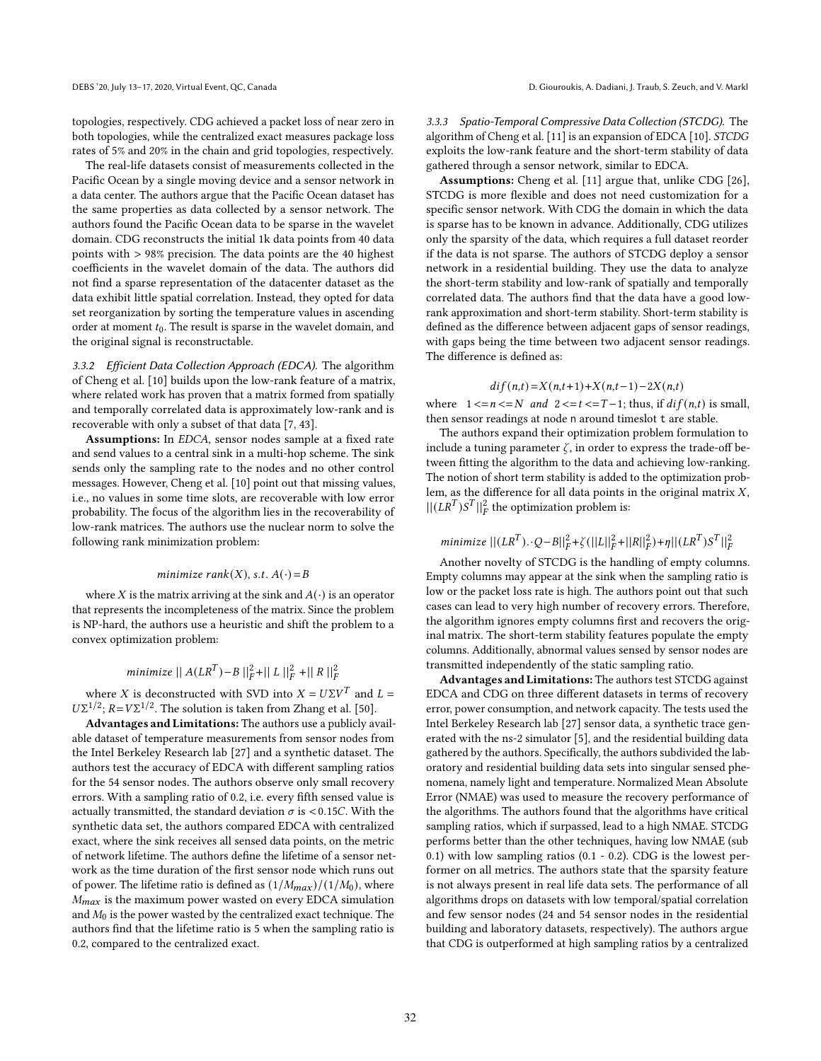topologies, respectively. CDG achieved a packet loss of near zero in both topologies, while the centralized exact measures package loss rates of 5% and 20% in the chain and grid topologies, respectively.

The real-life datasets consist of measurements collected in the Pacific Ocean by a single moving device and a sensor network in a data center. The authors argue that the Pacific Ocean dataset has the same properties as data collected by a sensor network. The authors found the Pacific Ocean data to be sparse in the wavelet domain. CDG reconstructs the initial 1k data points from 40 data points with > 98% precision. The data points are the 40 highest coefficients in the wavelet domain of the data. The authors did not find a sparse representation of the datacenter dataset as the data exhibit little spatial correlation. Instead, they opted for data set reorganization by sorting the temperature values in ascending order at moment  $t_0$ . The result is sparse in the wavelet domain, and the original signal is reconstructable.

3.3.2 Efficient Data Collection Approach (EDCA). The algorithm of Cheng et al. [\[10\]](#page-11-38) builds upon the low-rank feature of a matrix, where related work has proven that a matrix formed from spatially and temporally correlated data is approximately low-rank and is recoverable with only a subset of that data [\[7,](#page-11-39) [43\]](#page-11-40).

Assumptions: In EDCA, sensor nodes sample at a fixed rate and send values to a central sink in a multi-hop scheme. The sink sends only the sampling rate to the nodes and no other control messages. However, Cheng et al. [\[10\]](#page-11-38) point out that missing values, i.e., no values in some time slots, are recoverable with low error probability. The focus of the algorithm lies in the recoverability of low-rank matrices. The authors use the nuclear norm to solve the following rank minimization problem:

#### minimize rank $(X)$ , s.t.  $A(\cdot) = B$

where *X* is the matrix arriving at the sink and  $A(\cdot)$  is an operator that represents the incompleteness of the matrix. Since the problem is NP-hard, the authors use a heuristic and shift the problem to a convex optimization problem:

# minimize  $||A(LR^T) - B||_F^2 + ||L||_F^2 + ||R||_F^2$

where *X* is deconstructed with SVD into  $X = U\Sigma V^T$  and  $L =$  $U\Sigma^{1/2}$ ;  $R = V\Sigma^{1/2}$ . The solution is taken from Zhang et al. [\[50\]](#page-11-41).

Advantages and Limitations: The authors use a publicly available dataset of temperature measurements from sensor nodes from the Intel Berkeley Research lab [\[27\]](#page-11-42) and a synthetic dataset. The authors test the accuracy of EDCA with different sampling ratios for the 54 sensor nodes. The authors observe only small recovery errors. With a sampling ratio of 0.2, i.e. every fifth sensed value is actually transmitted, the standard deviation  $\sigma$  is <0.15C. With the synthetic data set, the authors compared EDCA with centralized exact, where the sink receives all sensed data points, on the metric of network lifetime. The authors define the lifetime of a sensor network as the time duration of the first sensor node which runs out of power. The lifetime ratio is defined as  $(1/M_{max})/(1/M_0)$ , where  $M_{max}$  is the maximum power wasted on every EDCA simulation and  $M_0$  is the power wasted by the centralized exact technique. The authors find that the lifetime ratio is 5 when the sampling ratio is 0.2, compared to the centralized exact.

3.3.3 Spatio-Temporal Compressive Data Collection (STCDG). The algorithm of Cheng et al. [\[11\]](#page-11-43) is an expansion of EDCA [\[10\]](#page-11-38). STCDG exploits the low-rank feature and the short-term stability of data gathered through a sensor network, similar to EDCA.

Assumptions: Cheng et al. [\[11\]](#page-11-43) argue that, unlike CDG [\[26\]](#page-11-12), STCDG is more flexible and does not need customization for a specific sensor network. With CDG the domain in which the data is sparse has to be known in advance. Additionally, CDG utilizes only the sparsity of the data, which requires a full dataset reorder if the data is not sparse. The authors of STCDG deploy a sensor network in a residential building. They use the data to analyze the short-term stability and low-rank of spatially and temporally correlated data. The authors find that the data have a good lowrank approximation and short-term stability. Short-term stability is defined as the difference between adjacent gaps of sensor readings, with gaps being the time between two adjacent sensor readings. The difference is defined as:

#### $dif(n,t) = X(n,t+1) + X(n,t-1) - 2X(n,t)$

where  $1 \le n \le N$  and  $2 \le t \le T-1$ ; thus, if  $diff(n, t)$  is small, then sensor readings at node n around timeslot t are stable.

The authors expand their optimization problem formulation to include a tuning parameter  $\zeta$ , in order to express the trade-off between fitting the algorithm to the data and achieving low-ranking. The notion of short term stability is added to the optimization problem, as the difference for all data points in the original matrix  $X$ ,  $||(LR^T)S^T||_F^2$  the optimization problem is:

# $minimize ||(LR^T) \cdot Q - B||_F^2 + \zeta(||L||_F^2 + ||R||_F^2) + \eta ||(LR^T)S^T||_F^2$

Another novelty of STCDG is the handling of empty columns. Empty columns may appear at the sink when the sampling ratio is low or the packet loss rate is high. The authors point out that such cases can lead to very high number of recovery errors. Therefore, the algorithm ignores empty columns first and recovers the original matrix. The short-term stability features populate the empty columns. Additionally, abnormal values sensed by sensor nodes are transmitted independently of the static sampling ratio.

Advantages and Limitations: The authors test STCDG against EDCA and CDG on three different datasets in terms of recovery error, power consumption, and network capacity. The tests used the Intel Berkeley Research lab [\[27\]](#page-11-42) sensor data, a synthetic trace generated with the ns-2 simulator [\[5\]](#page-11-37), and the residential building data gathered by the authors. Specifically, the authors subdivided the laboratory and residential building data sets into singular sensed phenomena, namely light and temperature. Normalized Mean Absolute Error (NMAE) was used to measure the recovery performance of the algorithms. The authors found that the algorithms have critical sampling ratios, which if surpassed, lead to a high NMAE. STCDG performs better than the other techniques, having low NMAE (sub 0.1) with low sampling ratios (0.1 - 0.2). CDG is the lowest performer on all metrics. The authors state that the sparsity feature is not always present in real life data sets. The performance of all algorithms drops on datasets with low temporal/spatial correlation and few sensor nodes (24 and 54 sensor nodes in the residential building and laboratory datasets, respectively). The authors argue that CDG is outperformed at high sampling ratios by a centralized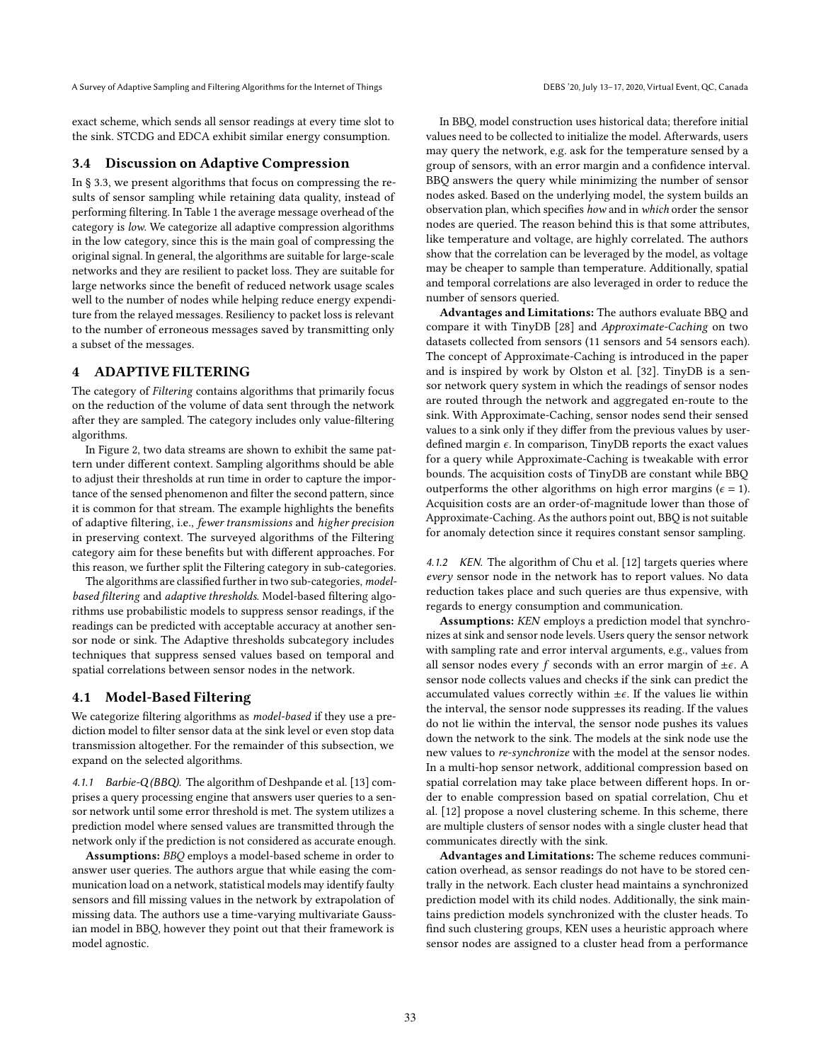exact scheme, which sends all sensor readings at every time slot to the sink. STCDG and EDCA exhibit similar energy consumption.

#### 3.4 Discussion on Adaptive Compression

In § [3.3,](#page-4-0) we present algorithms that focus on compressing the results of sensor sampling while retaining data quality, instead of performing filtering. In Table [1](#page-10-0) the average message overhead of the category is low. We categorize all adaptive compression algorithms in the low category, since this is the main goal of compressing the original signal. In general, the algorithms are suitable for large-scale networks and they are resilient to packet loss. They are suitable for large networks since the benefit of reduced network usage scales well to the number of nodes while helping reduce energy expenditure from the relayed messages. Resiliency to packet loss is relevant to the number of erroneous messages saved by transmitting only a subset of the messages.

# <span id="page-6-0"></span>4 ADAPTIVE FILTERING

The category of Filtering contains algorithms that primarily focus on the reduction of the volume of data sent through the network after they are sampled. The category includes only value-filtering algorithms.

In Figure [2,](#page-1-0) two data streams are shown to exhibit the same pattern under different context. Sampling algorithms should be able to adjust their thresholds at run time in order to capture the importance of the sensed phenomenon and filter the second pattern, since it is common for that stream. The example highlights the benefits of adaptive filtering, i.e., fewer transmissions and higher precision in preserving context. The surveyed algorithms of the Filtering category aim for these benefits but with different approaches. For this reason, we further split the Filtering category in sub-categories.

The algorithms are classified further in two sub-categories, modelbased filtering and adaptive thresholds. Model-based filtering algorithms use probabilistic models to suppress sensor readings, if the readings can be predicted with acceptable accuracy at another sensor node or sink. The Adaptive thresholds subcategory includes techniques that suppress sensed values based on temporal and spatial correlations between sensor nodes in the network.

# <span id="page-6-1"></span>4.1 Model-Based Filtering

We categorize filtering algorithms as *model-based* if they use a prediction model to filter sensor data at the sink level or even stop data transmission altogether. For the remainder of this subsection, we expand on the selected algorithms.

4.1.1 Barbie-Q (BBQ). The algorithm of Deshpande et al. [\[13\]](#page-11-21) comprises a query processing engine that answers user queries to a sensor network until some error threshold is met. The system utilizes a prediction model where sensed values are transmitted through the network only if the prediction is not considered as accurate enough.

Assumptions: BBQ employs a model-based scheme in order to answer user queries. The authors argue that while easing the communication load on a network, statistical models may identify faulty sensors and fill missing values in the network by extrapolation of missing data. The authors use a time-varying multivariate Gaussian model in BBQ, however they point out that their framework is model agnostic.

In BBQ, model construction uses historical data; therefore initial values need to be collected to initialize the model. Afterwards, users may query the network, e.g. ask for the temperature sensed by a group of sensors, with an error margin and a confidence interval. BBQ answers the query while minimizing the number of sensor nodes asked. Based on the underlying model, the system builds an observation plan, which specifies how and in which order the sensor nodes are queried. The reason behind this is that some attributes, like temperature and voltage, are highly correlated. The authors show that the correlation can be leveraged by the model, as voltage may be cheaper to sample than temperature. Additionally, spatial and temporal correlations are also leveraged in order to reduce the number of sensors queried.

Advantages and Limitations: The authors evaluate BBQ and compare it with TinyDB [\[28\]](#page-11-5) and Approximate-Caching on two datasets collected from sensors (11 sensors and 54 sensors each). The concept of Approximate-Caching is introduced in the paper and is inspired by work by Olston et al. [\[32\]](#page-11-44). TinyDB is a sensor network query system in which the readings of sensor nodes are routed through the network and aggregated en-route to the sink. With Approximate-Caching, sensor nodes send their sensed values to a sink only if they differ from the previous values by userdefined margin  $\epsilon$ . In comparison, TinyDB reports the exact values for a query while Approximate-Caching is tweakable with error bounds. The acquisition costs of TinyDB are constant while BBQ outperforms the other algorithms on high error margins ( $\epsilon = 1$ ). Acquisition costs are an order-of-magnitude lower than those of Approximate-Caching. As the authors point out, BBQ is not suitable for anomaly detection since it requires constant sensor sampling.

4.1.2 KEN. The algorithm of Chu et al. [\[12\]](#page-11-45) targets queries where every sensor node in the network has to report values. No data reduction takes place and such queries are thus expensive, with regards to energy consumption and communication.

Assumptions: KEN employs a prediction model that synchronizes at sink and sensor node levels. Users query the sensor network with sampling rate and error interval arguments, e.g., values from all sensor nodes every f seconds with an error margin of  $\pm \epsilon$ . A sensor node collects values and checks if the sink can predict the accumulated values correctly within  $\pm \epsilon$ . If the values lie within the interval, the sensor node suppresses its reading. If the values do not lie within the interval, the sensor node pushes its values down the network to the sink. The models at the sink node use the new values to re-synchronize with the model at the sensor nodes. In a multi-hop sensor network, additional compression based on spatial correlation may take place between different hops. In order to enable compression based on spatial correlation, Chu et al. [\[12\]](#page-11-45) propose a novel clustering scheme. In this scheme, there are multiple clusters of sensor nodes with a single cluster head that communicates directly with the sink.

Advantages and Limitations: The scheme reduces communication overhead, as sensor readings do not have to be stored centrally in the network. Each cluster head maintains a synchronized prediction model with its child nodes. Additionally, the sink maintains prediction models synchronized with the cluster heads. To find such clustering groups, KEN uses a heuristic approach where sensor nodes are assigned to a cluster head from a performance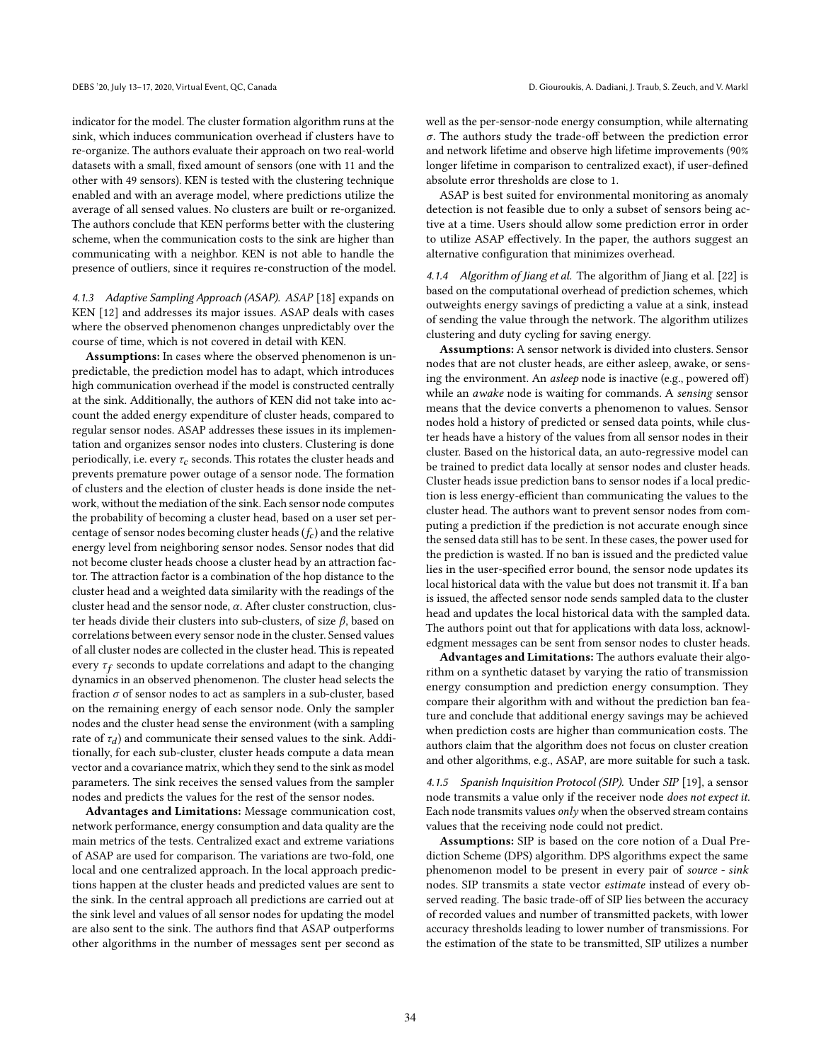indicator for the model. The cluster formation algorithm runs at the sink, which induces communication overhead if clusters have to re-organize. The authors evaluate their approach on two real-world datasets with a small, fixed amount of sensors (one with 11 and the other with 49 sensors). KEN is tested with the clustering technique enabled and with an average model, where predictions utilize the average of all sensed values. No clusters are built or re-organized. The authors conclude that KEN performs better with the clustering scheme, when the communication costs to the sink are higher than communicating with a neighbor. KEN is not able to handle the presence of outliers, since it requires re-construction of the model.

4.1.3 Adaptive Sampling Approach (ASAP). ASAP [\[18\]](#page-11-46) expands on KEN [\[12\]](#page-11-45) and addresses its major issues. ASAP deals with cases where the observed phenomenon changes unpredictably over the course of time, which is not covered in detail with KEN.

Assumptions: In cases where the observed phenomenon is unpredictable, the prediction model has to adapt, which introduces high communication overhead if the model is constructed centrally at the sink. Additionally, the authors of KEN did not take into account the added energy expenditure of cluster heads, compared to regular sensor nodes. ASAP addresses these issues in its implementation and organizes sensor nodes into clusters. Clustering is done periodically, i.e. every  $\tau_c$  seconds. This rotates the cluster heads and prevents premature power outage of a sensor node. The formation of clusters and the election of cluster heads is done inside the network, without the mediation of the sink. Each sensor node computes the probability of becoming a cluster head, based on a user set percentage of sensor nodes becoming cluster heads  $(f_c)$  and the relative energy level from neighboring sensor nodes. Sensor nodes that did not become cluster heads choose a cluster head by an attraction factor. The attraction factor is a combination of the hop distance to the cluster head and a weighted data similarity with the readings of the cluster head and the sensor node,  $\alpha$ . After cluster construction, cluster heads divide their clusters into sub-clusters, of size  $\beta$ , based on correlations between every sensor node in the cluster. Sensed values of all cluster nodes are collected in the cluster head. This is repeated every  $\tau_f$  seconds to update correlations and adapt to the changing dynamics in an observed phenomenon. The cluster head selects the fraction  $\sigma$  of sensor nodes to act as samplers in a sub-cluster, based on the remaining energy of each sensor node. Only the sampler nodes and the cluster head sense the environment (with a sampling rate of  $\tau_d$ ) and communicate their sensed values to the sink. Additionally, for each sub-cluster, cluster heads compute a data mean vector and a covariance matrix, which they send to the sink as model parameters. The sink receives the sensed values from the sampler nodes and predicts the values for the rest of the sensor nodes.

Advantages and Limitations: Message communication cost, network performance, energy consumption and data quality are the main metrics of the tests. Centralized exact and extreme variations of ASAP are used for comparison. The variations are two-fold, one local and one centralized approach. In the local approach predictions happen at the cluster heads and predicted values are sent to the sink. In the central approach all predictions are carried out at the sink level and values of all sensor nodes for updating the model are also sent to the sink. The authors find that ASAP outperforms other algorithms in the number of messages sent per second as

well as the per-sensor-node energy consumption, while alternating  $\sigma$ . The authors study the trade-off between the prediction error and network lifetime and observe high lifetime improvements (90% longer lifetime in comparison to centralized exact), if user-defined absolute error thresholds are close to 1.

ASAP is best suited for environmental monitoring as anomaly detection is not feasible due to only a subset of sensors being active at a time. Users should allow some prediction error in order to utilize ASAP effectively. In the paper, the authors suggest an alternative configuration that minimizes overhead.

4.1.4 Algorithm of Jiang et al. The algorithm of Jiang et al. [\[22\]](#page-11-47) is based on the computational overhead of prediction schemes, which outweights energy savings of predicting a value at a sink, instead of sending the value through the network. The algorithm utilizes clustering and duty cycling for saving energy.

Assumptions: A sensor network is divided into clusters. Sensor nodes that are not cluster heads, are either asleep, awake, or sensing the environment. An asleep node is inactive (e.g., powered off) while an awake node is waiting for commands. A sensing sensor means that the device converts a phenomenon to values. Sensor nodes hold a history of predicted or sensed data points, while cluster heads have a history of the values from all sensor nodes in their cluster. Based on the historical data, an auto-regressive model can be trained to predict data locally at sensor nodes and cluster heads. Cluster heads issue prediction bans to sensor nodes if a local prediction is less energy-efficient than communicating the values to the cluster head. The authors want to prevent sensor nodes from computing a prediction if the prediction is not accurate enough since the sensed data still has to be sent. In these cases, the power used for the prediction is wasted. If no ban is issued and the predicted value lies in the user-specified error bound, the sensor node updates its local historical data with the value but does not transmit it. If a ban is issued, the affected sensor node sends sampled data to the cluster head and updates the local historical data with the sampled data. The authors point out that for applications with data loss, acknowledgment messages can be sent from sensor nodes to cluster heads.

Advantages and Limitations: The authors evaluate their algorithm on a synthetic dataset by varying the ratio of transmission energy consumption and prediction energy consumption. They compare their algorithm with and without the prediction ban feature and conclude that additional energy savings may be achieved when prediction costs are higher than communication costs. The authors claim that the algorithm does not focus on cluster creation and other algorithms, e.g., ASAP, are more suitable for such a task.

4.1.5 Spanish Inquisition Protocol (SIP). Under SIP [\[19\]](#page-11-48), a sensor node transmits a value only if the receiver node does not expect it. Each node transmits values only when the observed stream contains values that the receiving node could not predict.

Assumptions: SIP is based on the core notion of a Dual Prediction Scheme (DPS) algorithm. DPS algorithms expect the same phenomenon model to be present in every pair of source - sink nodes. SIP transmits a state vector estimate instead of every observed reading. The basic trade-off of SIP lies between the accuracy of recorded values and number of transmitted packets, with lower accuracy thresholds leading to lower number of transmissions. For the estimation of the state to be transmitted, SIP utilizes a number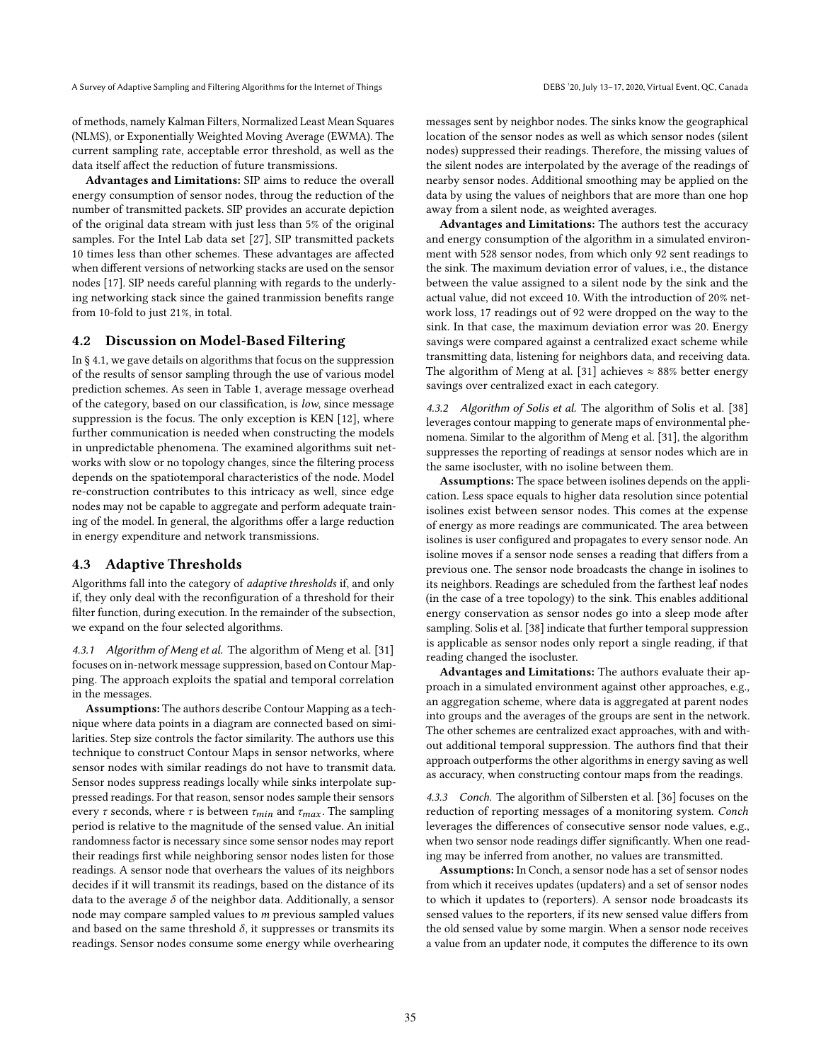of methods, namely Kalman Filters, Normalized Least Mean Squares (NLMS), or Exponentially Weighted Moving Average (EWMA). The current sampling rate, acceptable error threshold, as well as the data itself affect the reduction of future transmissions.

Advantages and Limitations: SIP aims to reduce the overall energy consumption of sensor nodes, throug the reduction of the number of transmitted packets. SIP provides an accurate depiction of the original data stream with just less than 5% of the original samples. For the Intel Lab data set [\[27\]](#page-11-42), SIP transmitted packets 10 times less than other schemes. These advantages are affected when different versions of networking stacks are used on the sensor nodes [\[17\]](#page-11-2). SIP needs careful planning with regards to the underlying networking stack since the gained tranmission benefits range from 10-fold to just 21%, in total.

#### 4.2 Discussion on Model-Based Filtering

In § [4.1,](#page-6-1) we gave details on algorithms that focus on the suppression of the results of sensor sampling through the use of various model prediction schemes. As seen in Table [1,](#page-10-0) average message overhead of the category, based on our classification, is low, since message suppression is the focus. The only exception is KEN [\[12\]](#page-11-45), where further communication is needed when constructing the models in unpredictable phenomena. The examined algorithms suit networks with slow or no topology changes, since the filtering process depends on the spatiotemporal characteristics of the node. Model re-construction contributes to this intricacy as well, since edge nodes may not be capable to aggregate and perform adequate training of the model. In general, the algorithms offer a large reduction in energy expenditure and network transmissions.

# <span id="page-8-0"></span>4.3 Adaptive Thresholds

Algorithms fall into the category of adaptive thresholds if, and only if, they only deal with the reconfiguration of a threshold for their filter function, during execution. In the remainder of the subsection, we expand on the four selected algorithms.

4.3.1 Algorithm of Meng et al. The algorithm of Meng et al. [\[31\]](#page-11-49) focuses on in-network message suppression, based on Contour Mapping. The approach exploits the spatial and temporal correlation in the messages.

Assumptions: The authors describe Contour Mapping as a technique where data points in a diagram are connected based on similarities. Step size controls the factor similarity. The authors use this technique to construct Contour Maps in sensor networks, where sensor nodes with similar readings do not have to transmit data. Sensor nodes suppress readings locally while sinks interpolate suppressed readings. For that reason, sensor nodes sample their sensors every  $\tau$  seconds, where  $\tau$  is between  $\tau_{min}$  and  $\tau_{max}$ . The sampling period is relative to the magnitude of the sensed value. An initial randomness factor is necessary since some sensor nodes may report their readings first while neighboring sensor nodes listen for those readings. A sensor node that overhears the values of its neighbors decides if it will transmit its readings, based on the distance of its data to the average  $\delta$  of the neighbor data. Additionally, a sensor node may compare sampled values to  $m$  previous sampled values and based on the same threshold  $\delta$ , it suppresses or transmits its readings. Sensor nodes consume some energy while overhearing

messages sent by neighbor nodes. The sinks know the geographical location of the sensor nodes as well as which sensor nodes (silent nodes) suppressed their readings. Therefore, the missing values of the silent nodes are interpolated by the average of the readings of nearby sensor nodes. Additional smoothing may be applied on the data by using the values of neighbors that are more than one hop away from a silent node, as weighted averages.

Advantages and Limitations: The authors test the accuracy and energy consumption of the algorithm in a simulated environment with 528 sensor nodes, from which only 92 sent readings to the sink. The maximum deviation error of values, i.e., the distance between the value assigned to a silent node by the sink and the actual value, did not exceed 10. With the introduction of 20% network loss, 17 readings out of 92 were dropped on the way to the sink. In that case, the maximum deviation error was 20. Energy savings were compared against a centralized exact scheme while transmitting data, listening for neighbors data, and receiving data. The algorithm of Meng at al. [\[31\]](#page-11-49) achieves  $\approx 88\%$  better energy savings over centralized exact in each category.

4.3.2 Algorithm of Solis et al. The algorithm of Solis et al. [\[38\]](#page-11-50) leverages contour mapping to generate maps of environmental phenomena. Similar to the algorithm of Meng et al. [\[31\]](#page-11-49), the algorithm suppresses the reporting of readings at sensor nodes which are in the same isocluster, with no isoline between them.

Assumptions: The space between isolines depends on the application. Less space equals to higher data resolution since potential isolines exist between sensor nodes. This comes at the expense of energy as more readings are communicated. The area between isolines is user configured and propagates to every sensor node. An isoline moves if a sensor node senses a reading that differs from a previous one. The sensor node broadcasts the change in isolines to its neighbors. Readings are scheduled from the farthest leaf nodes (in the case of a tree topology) to the sink. This enables additional energy conservation as sensor nodes go into a sleep mode after sampling. Solis et al. [\[38\]](#page-11-50) indicate that further temporal suppression is applicable as sensor nodes only report a single reading, if that reading changed the isocluster.

Advantages and Limitations: The authors evaluate their approach in a simulated environment against other approaches, e.g., an aggregation scheme, where data is aggregated at parent nodes into groups and the averages of the groups are sent in the network. The other schemes are centralized exact approaches, with and without additional temporal suppression. The authors find that their approach outperforms the other algorithms in energy saving as well as accuracy, when constructing contour maps from the readings.

4.3.3 Conch. The algorithm of Silbersten et al. [\[36\]](#page-11-24) focuses on the reduction of reporting messages of a monitoring system. Conch leverages the differences of consecutive sensor node values, e.g., when two sensor node readings differ significantly. When one reading may be inferred from another, no values are transmitted.

Assumptions: In Conch, a sensor node has a set of sensor nodes from which it receives updates (updaters) and a set of sensor nodes to which it updates to (reporters). A sensor node broadcasts its sensed values to the reporters, if its new sensed value differs from the old sensed value by some margin. When a sensor node receives a value from an updater node, it computes the difference to its own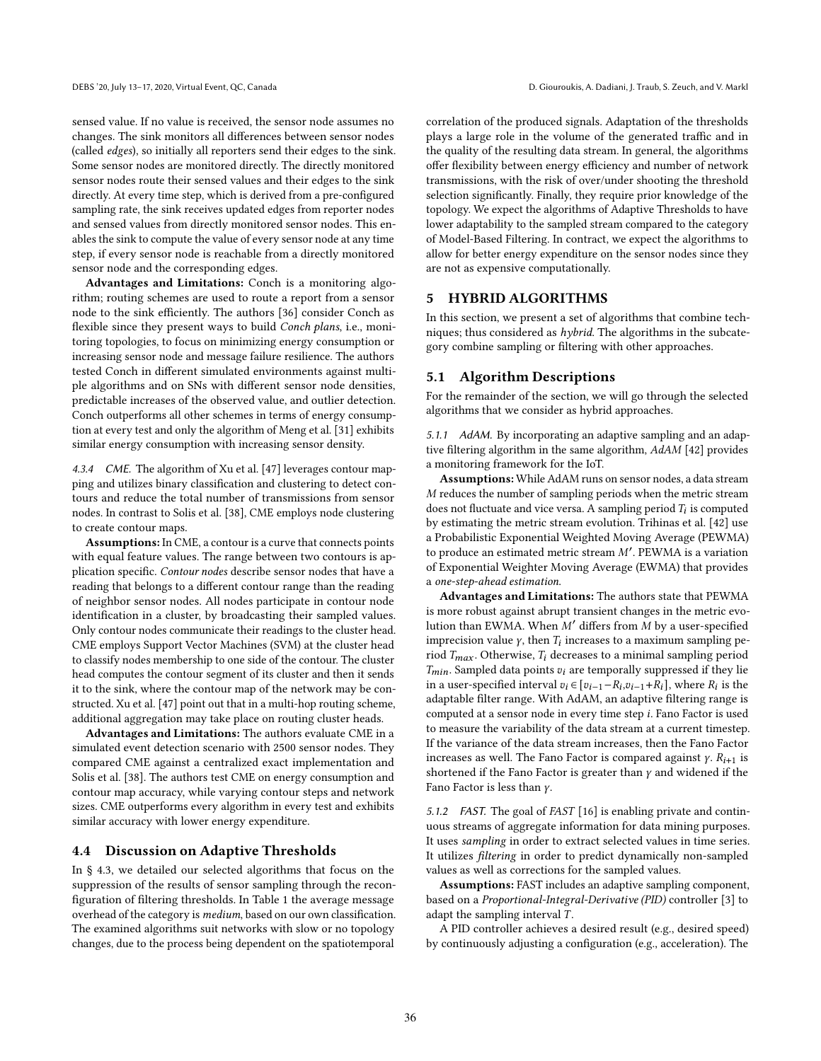sensed value. If no value is received, the sensor node assumes no changes. The sink monitors all differences between sensor nodes (called edges), so initially all reporters send their edges to the sink. Some sensor nodes are monitored directly. The directly monitored sensor nodes route their sensed values and their edges to the sink directly. At every time step, which is derived from a pre-configured sampling rate, the sink receives updated edges from reporter nodes and sensed values from directly monitored sensor nodes. This enables the sink to compute the value of every sensor node at any time step, if every sensor node is reachable from a directly monitored sensor node and the corresponding edges.

Advantages and Limitations: Conch is a monitoring algorithm; routing schemes are used to route a report from a sensor node to the sink efficiently. The authors [\[36\]](#page-11-24) consider Conch as flexible since they present ways to build Conch plans, i.e., monitoring topologies, to focus on minimizing energy consumption or increasing sensor node and message failure resilience. The authors tested Conch in different simulated environments against multiple algorithms and on SNs with different sensor node densities, predictable increases of the observed value, and outlier detection. Conch outperforms all other schemes in terms of energy consumption at every test and only the algorithm of Meng et al. [\[31\]](#page-11-49) exhibits similar energy consumption with increasing sensor density.

4.3.4 CME. The algorithm of Xu et al. [\[47\]](#page-11-25) leverages contour mapping and utilizes binary classification and clustering to detect contours and reduce the total number of transmissions from sensor nodes. In contrast to Solis et al. [\[38\]](#page-11-50), CME employs node clustering to create contour maps.

Assumptions: In CME, a contour is a curve that connects points with equal feature values. The range between two contours is application specific. Contour nodes describe sensor nodes that have a reading that belongs to a different contour range than the reading of neighbor sensor nodes. All nodes participate in contour node identification in a cluster, by broadcasting their sampled values. Only contour nodes communicate their readings to the cluster head. CME employs Support Vector Machines (SVM) at the cluster head to classify nodes membership to one side of the contour. The cluster head computes the contour segment of its cluster and then it sends it to the sink, where the contour map of the network may be constructed. Xu et al. [\[47\]](#page-11-25) point out that in a multi-hop routing scheme, additional aggregation may take place on routing cluster heads.

Advantages and Limitations: The authors evaluate CME in a simulated event detection scenario with 2500 sensor nodes. They compared CME against a centralized exact implementation and Solis et al. [\[38\]](#page-11-50). The authors test CME on energy consumption and contour map accuracy, while varying contour steps and network sizes. CME outperforms every algorithm in every test and exhibits similar accuracy with lower energy expenditure.

#### 4.4 Discussion on Adaptive Thresholds

In § [4.3,](#page-8-0) we detailed our selected algorithms that focus on the suppression of the results of sensor sampling through the reconfiguration of filtering thresholds. In Table [1](#page-10-0) the average message overhead of the category is medium, based on our own classification. The examined algorithms suit networks with slow or no topology changes, due to the process being dependent on the spatiotemporal

correlation of the produced signals. Adaptation of the thresholds plays a large role in the volume of the generated traffic and in the quality of the resulting data stream. In general, the algorithms offer flexibility between energy efficiency and number of network transmissions, with the risk of over/under shooting the threshold selection significantly. Finally, they require prior knowledge of the topology. We expect the algorithms of Adaptive Thresholds to have lower adaptability to the sampled stream compared to the category of Model-Based Filtering. In contract, we expect the algorithms to allow for better energy expenditure on the sensor nodes since they are not as expensive computationally.

# <span id="page-9-0"></span>5 HYBRID ALGORITHMS

In this section, we present a set of algorithms that combine techniques; thus considered as hybrid. The algorithms in the subcategory combine sampling or filtering with other approaches.

#### <span id="page-9-1"></span>5.1 Algorithm Descriptions

For the remainder of the section, we will go through the selected algorithms that we consider as hybrid approaches.

5.1.1 AdAM. By incorporating an adaptive sampling and an adaptive filtering algorithm in the same algorithm, AdAM [\[42\]](#page-11-19) provides a monitoring framework for the IoT.

Assumptions: While AdAM runs on sensor nodes, a data stream  $M$  reduces the number of sampling periods when the metric stream does not fluctuate and vice versa. A sampling period  $T_i$  is computed by estimating the metric stream evolution. Trihinas et al. [\[42\]](#page-11-19) use a Probabilistic Exponential Weighted Moving Average (PEWMA) to produce an estimated metric stream  $M'$ . PEWMA is a variation of Exponential Weighter Moving Average (EWMA) that provides a one-step-ahead estimation.

Advantages and Limitations: The authors state that PEWMA is more robust against abrupt transient changes in the metric evolution than EWMA. When  $M'$  differs from  $M$  by a user-specified imprecision value  $\gamma$ , then  $T_i$  increases to a maximum sampling period  $T_{max}$ . Otherwise,  $T_i$  decreases to a minimal sampling period  $T_{min}$ . Sampled data points  $v_i$  are temporally suppressed if they lie in a user-specified interval  $v_i \in [v_{i-1} - R_i, v_{i-1} + R_i]$ , where  $R_i$  is the adaptable filter range. With AdAM, an adaptive filtering range is computed at a sensor node in every time step  $i$ . Fano Factor is used to measure the variability of the data stream at a current timestep. If the variance of the data stream increases, then the Fano Factor increases as well. The Fano Factor is compared against  $\gamma$ .  $R_{i+1}$  is shortened if the Fano Factor is greater than  $\gamma$  and widened if the Fano Factor is less than  $\gamma$ .

5.1.2 FAST. The goal of FAST [\[16\]](#page-11-23) is enabling private and continuous streams of aggregate information for data mining purposes. It uses sampling in order to extract selected values in time series. It utilizes filtering in order to predict dynamically non-sampled values as well as corrections for the sampled values.

Assumptions: FAST includes an adaptive sampling component, based on a Proportional-Integral-Derivative (PID) controller [\[3\]](#page-11-51) to adapt the sampling interval  $T$ .

A PID controller achieves a desired result (e.g., desired speed) by continuously adjusting a configuration (e.g., acceleration). The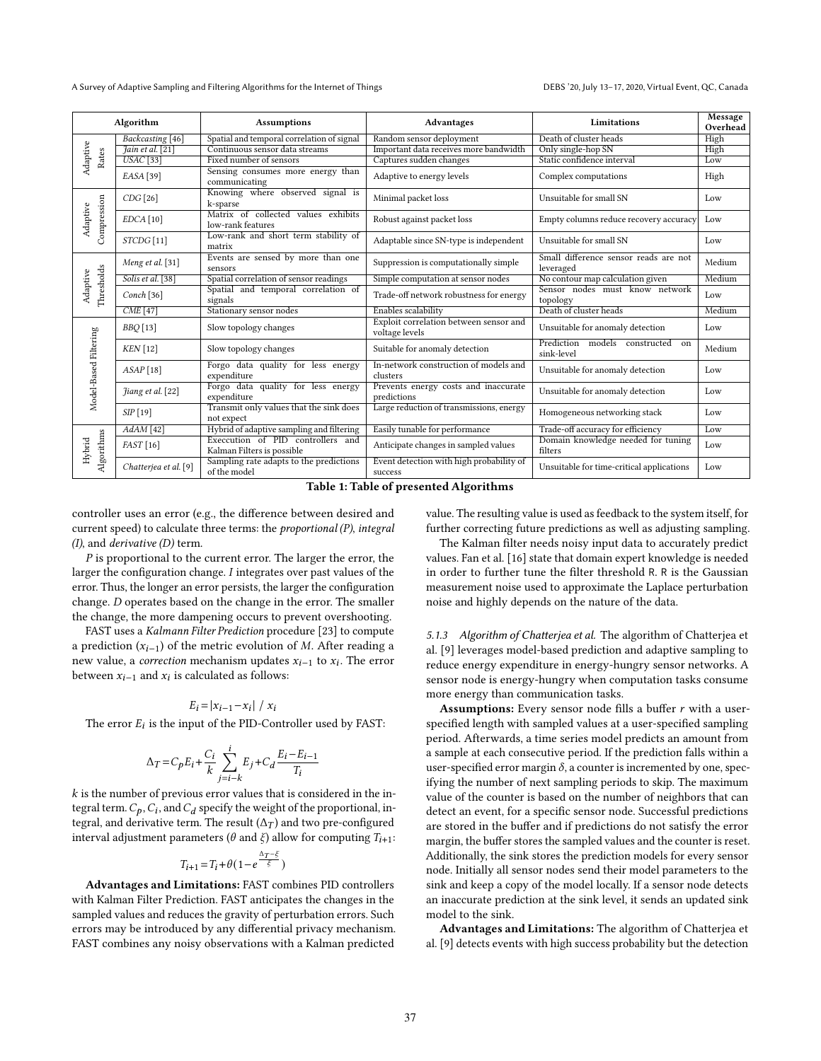<span id="page-10-0"></span>

| Algorithm               |                                                                                  | <b>Assumptions</b>                                              | Advantages                                               | Limitations                                             | Message<br>Overhead |
|-------------------------|----------------------------------------------------------------------------------|-----------------------------------------------------------------|----------------------------------------------------------|---------------------------------------------------------|---------------------|
|                         | Backcasting [46]                                                                 | Spatial and temporal correlation of signal                      | Random sensor deployment                                 | Death of cluster heads                                  | High                |
| Adaptive<br>Rates       | Jain et al. [21]                                                                 | Continuous sensor data streams                                  | Important data receives more bandwidth                   | Only single-hop SN                                      | High                |
|                         | $USAC$ [33]                                                                      | Fixed number of sensors                                         | Captures sudden changes                                  | Static confidence interval                              | Low                 |
|                         | Sensing consumes more energy than<br>$EASA$ [39]<br>communicating                |                                                                 | Adaptive to energy levels                                | Complex computations                                    | High                |
|                         | CDG[26]                                                                          | Knowing where observed signal is<br>k-sparse                    | Minimal packet loss                                      | Unsuitable for small SN                                 | Low                 |
| Compression<br>Adaptive | $EDCA$ [10]                                                                      | Matrix of collected values exhibits<br>low-rank features        | Robust against packet loss                               | Empty columns reduce recovery accuracy                  | Low                 |
|                         | STCDG <sup>[11]</sup>                                                            | Low-rank and short term stability of<br>matrix                  | Adaptable since SN-type is independent                   | Unsuitable for small SN                                 | Low                 |
|                         | Meng et al. [31]                                                                 | Events are sensed by more than one<br>sensors                   | Suppression is computationally simple                    | Small difference sensor reads are not<br>leveraged      | Medium              |
|                         | Solis et al. [38]                                                                | Spatial correlation of sensor readings                          | Simple computation at sensor nodes                       | No contour map calculation given                        | Medium              |
| Thresholds<br>Adaptive  | Conch <sup>[36]</sup>                                                            | Spatial and temporal correlation of<br>signals                  | Trade-off network robustness for energy                  | Sensor nodes must know network<br>topology              | Low                 |
|                         | $CME$ <sup>[47]</sup>                                                            | Stationary sensor nodes                                         | Enables scalability                                      | Death of cluster heads                                  | Medium              |
|                         | <b>BBQ</b> [13]                                                                  | Slow topology changes                                           | Exploit correlation between sensor and<br>voltage levels | Unsuitable for anomaly detection                        | Low                 |
| Model-Based Filtering   | $KEN$ [12]                                                                       | Slow topology changes                                           | Suitable for anomaly detection                           | Prediction<br>models<br>constructed<br>on<br>sink-level | Medium              |
|                         | $ASAP$ [18]                                                                      | Forgo data quality for less energy<br>expenditure               | In-network construction of models and<br>clusters        | Unsuitable for anomaly detection                        | Low                 |
|                         | Jiang et al. [22]                                                                | Forgo data quality for less energy<br>expenditure               | Prevents energy costs and inaccurate<br>predictions      | Unsuitable for anomaly detection                        | Low                 |
|                         | Transmit only values that the sink does<br>$SIP$ [19]<br>not expect              |                                                                 | Large reduction of transmissions, energy                 | Homogeneous networking stack                            | Low                 |
|                         | Hybrid of adaptive sampling and filtering<br>$AdAM$ [42]                         |                                                                 | Easily tunable for performance                           | Trade-off accuracy for efficiency                       | Low                 |
| Algorithms<br>Hybrid    | FAST [16]                                                                        | Execcution of PID controllers and<br>Kalman Filters is possible | Anticipate changes in sampled values                     | Domain knowledge needed for tuning<br>filters           | Low                 |
|                         | Sampling rate adapts to the predictions<br>Chatterjea et al. [9]<br>of the model |                                                                 | Event detection with high probability of<br>success      | Unsuitable for time-critical applications               | Low                 |

Table 1: Table of presented Algorithms

controller uses an error (e.g., the difference between desired and current speed) to calculate three terms: the proportional (P), integral (I), and derivative (D) term.

P is proportional to the current error. The larger the error, the larger the configuration change. I integrates over past values of the error. Thus, the longer an error persists, the larger the configuration change. D operates based on the change in the error. The smaller the change, the more dampening occurs to prevent overshooting.

FAST uses a Kalmann Filter Prediction procedure [\[23\]](#page-11-52) to compute a prediction  $(x_{i-1})$  of the metric evolution of M. After reading a new value, a *correction* mechanism updates  $x_{i-1}$  to  $x_i$ . The error between  $x_{i-1}$  and  $x_i$  is calculated as follows:

$$
E_i = |x_{i-1} - x_i| / x_i
$$

The error  $E_i$  is the input of the PID-Controller used by FAST:

$$
\Delta_T = C_p E_i + \frac{C_i}{k} \sum_{j=i-k}^{i} E_j + C_d \frac{E_i - E_{i-1}}{T_i}
$$

 $\boldsymbol{k}$  is the number of previous error values that is considered in the integral term.  $C_p$ ,  $C_i$ , and  $C_d$  specify the weight of the proportional, integral, and derivative term. The result  $(\Delta_T)$  and two pre-configured interval adjustment parameters ( $\theta$  and  $\xi$ ) allow for computing  $T_{i+1}$ :

$$
T_{i+1}\!=\!T_i\!+\!\theta(1\!-\!e^{\frac{\Delta_T-\xi}{\xi}})
$$

Advantages and Limitations: FAST combines PID controllers with Kalman Filter Prediction. FAST anticipates the changes in the sampled values and reduces the gravity of perturbation errors. Such errors may be introduced by any differential privacy mechanism. FAST combines any noisy observations with a Kalman predicted value. The resulting value is used as feedback to the system itself, for further correcting future predictions as well as adjusting sampling.

The Kalman filter needs noisy input data to accurately predict values. Fan et al. [\[16\]](#page-11-23) state that domain expert knowledge is needed in order to further tune the filter threshold R. R is the Gaussian measurement noise used to approximate the Laplace perturbation noise and highly depends on the nature of the data.

5.1.3 Algorithm of Chatterjea et al. The algorithm of Chatterjea et al. [\[9\]](#page-11-22) leverages model-based prediction and adaptive sampling to reduce energy expenditure in energy-hungry sensor networks. A sensor node is energy-hungry when computation tasks consume more energy than communication tasks.

Assumptions: Every sensor node fills a buffer  $r$  with a userspecified length with sampled values at a user-specified sampling period. Afterwards, a time series model predicts an amount from a sample at each consecutive period. If the prediction falls within a user-specified error margin  $\delta$ , a counter is incremented by one, specifying the number of next sampling periods to skip. The maximum value of the counter is based on the number of neighbors that can detect an event, for a specific sensor node. Successful predictions are stored in the buffer and if predictions do not satisfy the error margin, the buffer stores the sampled values and the counter is reset. Additionally, the sink stores the prediction models for every sensor node. Initially all sensor nodes send their model parameters to the sink and keep a copy of the model locally. If a sensor node detects an inaccurate prediction at the sink level, it sends an updated sink model to the sink.

Advantages and Limitations: The algorithm of Chatterjea et al. [\[9\]](#page-11-22) detects events with high success probability but the detection